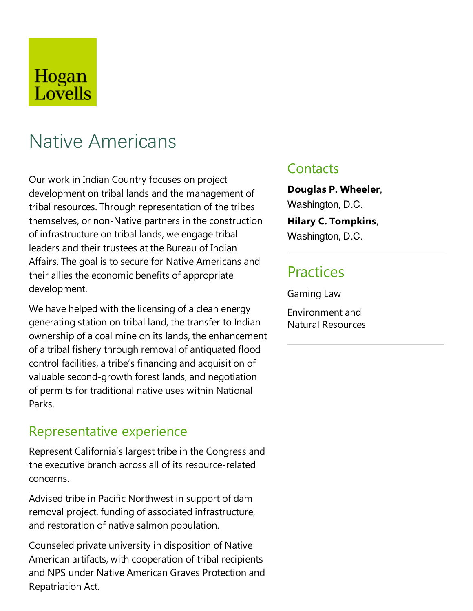## Hogan Lovells

# Native Americans

Our work in Indian Country focuses on project development on tribal lands and the management of tribal resources. Through representation of the tribes themselves, or non-Native partners in the construction of infrastructure on tribal lands, we engage tribal leaders and their trustees at the Bureau of Indian Affairs. The goal is to secure for Native Americans and their allies the economic benefits of appropriate development.

We have helped with the licensing of a clean energy generating station on tribal land, the transfer to Indian ownership of a coal mine on its lands, the enhancement of a tribal fishery through removal of antiquated flood control facilities, a tribe's financing and acquisition of valuable second-growth forest lands, and negotiation of permits for traditional native uses within National Parks.

#### Representative experience

Represent California's largest tribe in the Congress and the executive branch across all of its resource-related concerns.

Advised tribe in Pacific Northwest in support of dam removal project, funding of associated infrastructure, and restoration of native salmon population.

Counseled private university in disposition of Native American artifacts, with cooperation of tribal recipients and NPS under Native American Graves Protection and Repatriation Act.

#### **Contacts**

**Douglas P. Wheeler**, Washington, D.C. **Hilary C. Tompkins**, Washington, D.C.

#### **Practices**

Gaming Law

Environmentand Natural Resources